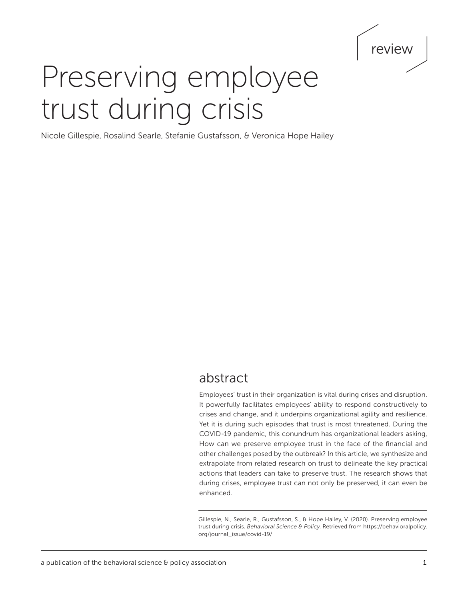# review

# Preserving employee trust during crisis

Nicole Gillespie, Rosalind Searle, Stefanie Gustafsson, & Veronica Hope Hailey

## abstract

Employees' trust in their organization is vital during crises and disruption. It powerfully facilitates employees' ability to respond constructively to crises and change, and it underpins organizational agility and resilience. Yet it is during such episodes that trust is most threatened. During the COVID-19 pandemic, this conundrum has organizational leaders asking, How can we preserve employee trust in the face of the financial and other challenges posed by the outbreak? In this article, we synthesize and extrapolate from related research on trust to delineate the key practical actions that leaders can take to preserve trust. The research shows that during crises, employee trust can not only be preserved, it can even be enhanced.

Gillespie, N., Searle, R., Gustafsson, S., & Hope Hailey, V. (2020). Preserving employee trust during crisis. *Behavioral Science & Policy*. Retrieved from [https://behavioralpolicy.](https://behavioralpolicy.org/journal_issue/covid-19/) [org/journal\\_issue/covid-19/](https://behavioralpolicy.org/journal_issue/covid-19/)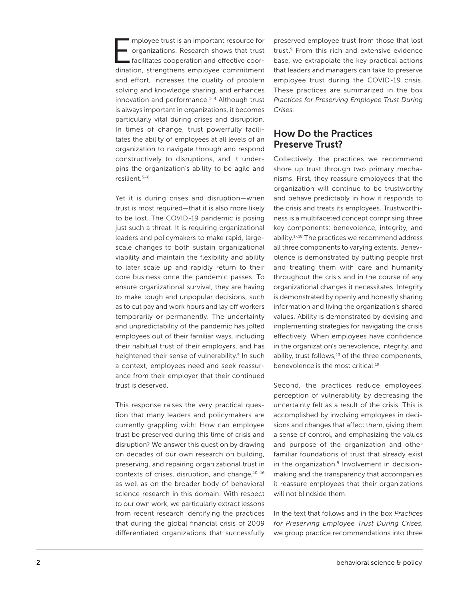mployee trust is an important resource for organizations. Research shows that trust facilitates cooperation and effective coordination, strengthens employee commitment and effort, increases the quality of problem solving and knowledge sharing, and enhances innovation and performance.<sup>1-4</sup> Although trust is always important in organizations, it becomes particularly vital during crises and disruption. In times of change, trust powerfully facilitates the ability of employees at all levels of an organization to navigate through and respond constructively to disruptions, and it underpins the organization's ability to be agile and resilient.5–8

Yet it is during crises and disruption—when trust is most required—that it is also more likely to be lost. The COVID-19 pandemic is posing just such a threat. It is requiring organizational leaders and policymakers to make rapid, largescale changes to both sustain organizational viability and maintain the flexibility and ability to later scale up and rapidly return to their core business once the pandemic passes. To ensure organizational survival, they are having to make tough and unpopular decisions, such as to cut pay and work hours and lay off workers temporarily or permanently. The uncertainty and unpredictability of the pandemic has jolted employees out of their familiar ways, including their habitual trust of their employers, and has heightened their sense of vulnerability.<sup>9</sup> In such a context, employees need and seek reassurance from their employer that their continued trust is deserved.

This response raises the very practical question that many leaders and policymakers are currently grappling with: How can employee trust be preserved during this time of crisis and disruption? We answer this question by drawing on decades of our own research on building, preserving, and repairing organizational trust in contexts of crises, disruption, and change, 10-16 as well as on the broader body of behavioral science research in this domain. With respect to our own work, we particularly extract lessons from recent research identifying the practices that during the global financial crisis of 2009 differentiated organizations that successfully preserved employee trust from those that lost trust.9 From this rich and extensive evidence base, we extrapolate the key practical actions that leaders and managers can take to preserve employee trust during the COVID-19 crisis. These practices are summarized in the box *Practices for Preserving Employee Trust During Crises*.

## How Do the Practices Preserve Trust?

Collectively, the practices we recommend shore up trust through two primary mechanisms. First, they reassure employees that the organization will continue to be trustworthy and behave predictably in how it responds to the crisis and treats its employees. Trustworthiness is a multifaceted concept comprising three key components: benevolence, integrity, and ability.17,18 The practices we recommend address all three components to varying extents. Benevolence is demonstrated by putting people first and treating them with care and humanity throughout the crisis and in the course of any organizational changes it necessitates. Integrity is demonstrated by openly and honestly sharing information and living the organization's shared values. Ability is demonstrated by devising and implementing strategies for navigating the crisis effectively. When employees have confidence in the organization's benevolence, integrity, and ability, trust follows; $13$  of the three components, benevolence is the most critical.19

Second, the practices reduce employees' perception of vulnerability by decreasing the uncertainty felt as a result of the crisis. This is accomplished by involving employees in decisions and changes that affect them, giving them a sense of control, and emphasizing the values and purpose of the organization and other familiar foundations of trust that already exist in the organization.<sup>9</sup> Involvement in decisionmaking and the transparency that accompanies it reassure employees that their organizations will not blindside them.

In the text that follows and in the box *Practices for Preserving Employee Trust During Crises*, we group practice recommendations into three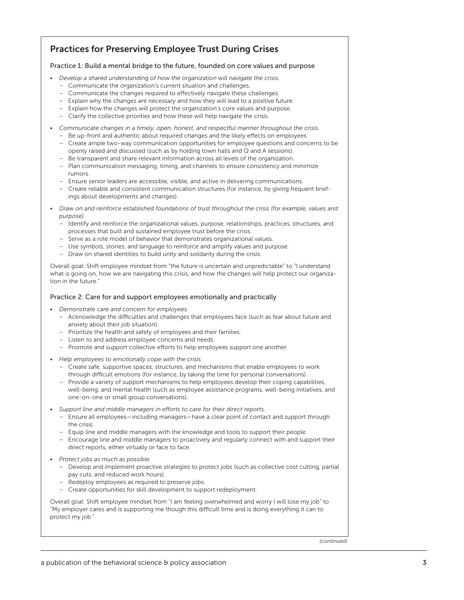## Practices for Preserving Employee Trust During Crises

#### Practice 1: Build a mental bridge to the future, founded on core values and purpose

- *Develop a shared understanding of how the organization will navigate the crisis.*
	- Communicate the organization's current situation and challenges.
	- Communicate the changes required to effectively navigate these challenges.
	- Explain why the changes are necessary and how they will lead to a positive future.
	- Explain how the changes will protect the organization's core values and purpose.
	- Clarify the collective priorities and how these will help navigate the crisis.
- *Communicate changes in a timely, open, honest, and respectful manner throughout the crisis.*
	- Be up-front and authentic about required changes and the likely effects on employees.
	- Create ample two-way communication opportunities for employee questions and concerns to be openly raised and discussed (such as by holding town halls and Q and A sessions).
	- Be transparent and share relevant information across all levels of the organization. – Plan communication messaging, timing, and channels to ensure consistency and minimize
	- rumors.
	- Ensure senior leaders are accessible, visible, and active in delivering communications.
	- Create reliable and consistent communication structures (for instance, by giving frequent briefings about developments and changes).
- *Draw on and reinforce established foundations of trust throughout the crisis (for example, values and purpose).*
	- Identify and reinforce the organizational values, purpose, relationships, practices, structures, and processes that built and sustained employee trust before the crisis.
	- Serve as a role model of behavior that demonstrates organizational values.
	- Use symbols, stories, and language to reinforce and amplify values and purpose.
	- Draw on shared identities to build unity and solidarity during the crisis.

Overall goal: Shift employee mindset from "the future is uncertain and unpredictable" to "I understand what is going on, how we are navigating this crisis, and how the changes will help protect our organization in the future."

#### Practice 2: Care for and support employees emotionally and practically

- *Demonstrate care and concern for employees.*
	- Acknowledge the difficulties and challenges that employees face (such as fear about future and anxiety about their job situation).
	- Prioritize the health and safety of employees and their families.
	- Listen to and address employee concerns and needs.
	- Promote and support collective efforts to help employees support one another.
- *Help employees to emotionally cope with the crisis.*
	- Create safe, supportive spaces, structures, and mechanisms that enable employees to work through difficult emotions (for instance, by taking the time for personal conversations).
	- Provide a variety of support mechanisms to help employees develop their coping capabilities, well-being, and mental health (such as employee assistance programs, well-being initiatives, and one-on-one or small group conversations).
- *Support line and middle managers in efforts to care for their direct reports.*
	- Ensure all employees—including managers—have a clear point of contact and support through the crisis.
	- Equip line and middle managers with the knowledge and tools to support their people.
	- Encourage line and middle managers to proactively and regularly connect with and support their direct reports, either virtually or face to face.
- *Protect jobs as much as possible.*
	- Develop and implement proactive strategies to protect jobs (such as collective cost cutting, partial pay cuts, and reduced work hours).
	- Redeploy employees as required to preserve jobs.
	- Create opportunities for skill development to support redeployment.

Overall goal: Shift employee mindset from "I am feeling overwhelmed and worry I will lose my job" to "My employer cares and is supporting me though this difficult time and is doing everything it can to protect my job."

*(continued)*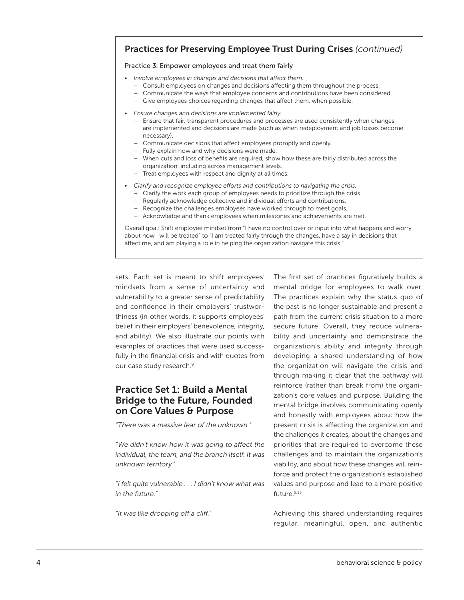## Practices for Preserving Employee Trust During Crises *(continued)*

#### Practice 3: Empower employees and treat them fairly

- *Involve employees in changes and decisions that affect them.*
	- Consult employees on changes and decisions affecting them throughout the process.
	- Communicate the ways that employee concerns and contributions have been considered.
	- Give employees choices regarding changes that affect them, when possible.
- *Ensure changes and decisions are implemented fairly.*
	- Ensure that fair, transparent procedures and processes are used consistently when changes are implemented and decisions are made (such as when redeployment and job losses become necessary).
	- Communicate decisions that affect employees promptly and openly.
	- Fully explain how and why decisions were made.
	- When cuts and loss of benefits are required, show how these are fairly distributed across the organization, including across management levels.
	- Treat employees with respect and dignity at all times.
- *Clarify and recognize employee efforts and contributions to navigating the crisis.*
	- Clarify the work each group of employees needs to prioritize through the crisis.
	- Regularly acknowledge collective and individual efforts and contributions.
	- Recognize the challenges employees have worked through to meet goals.
	- Acknowledge and thank employees when milestones and achievements are met.

Overall goal: Shift employee mindset from "I have no control over or input into what happens and worry about how I will be treated" to "I am treated fairly through the changes, have a say in decisions that affect me, and am playing a role in helping the organization navigate this crisis."

sets. Each set is meant to shift employees' mindsets from a sense of uncertainty and vulnerability to a greater sense of predictability and confidence in their employers' trustworthiness (in other words, it supports employees' belief in their employers' benevolence, integrity, and ability). We also illustrate our points with examples of practices that were used successfully in the financial crisis and with quotes from our case study research.<sup>9</sup>

## Practice Set 1: Build a Mental Bridge to the Future, Founded on Core Values & Purpose

*"There was a massive fear of the unknown."*

*"We didn't know how it was going to affect the individual, the team, and the branch itself. It was unknown territory."*

*"I felt quite vulnerable . . . I didn't know what was in the future."*

*"It was like dropping off a cliff."*

The first set of practices figuratively builds a mental bridge for employees to walk over. The practices explain why the status quo of the past is no longer sustainable and present a path from the current crisis situation to a more secure future. Overall, they reduce vulnerability and uncertainty and demonstrate the organization's ability and integrity through developing a shared understanding of how the organization will navigate the crisis and through making it clear that the pathway will reinforce (rather than break from) the organization's core values and purpose. Building the mental bridge involves communicating openly and honestly with employees about how the present crisis is affecting the organization and the challenges it creates, about the changes and priorities that are required to overcome these challenges and to maintain the organization's viability, and about how these changes will reinforce and protect the organization's established values and purpose and lead to a more positive future.9,13

Achieving this shared understanding requires regular, meaningful, open, and authentic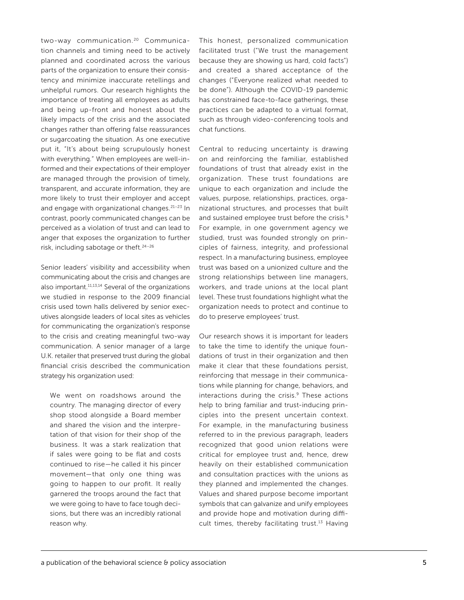two-way communication.<sup>20</sup> Communication channels and timing need to be actively planned and coordinated across the various parts of the organization to ensure their consistency and minimize inaccurate retellings and unhelpful rumors. Our research highlights the importance of treating all employees as adults and being up-front and honest about the likely impacts of the crisis and the associated changes rather than offering false reassurances or sugarcoating the situation. As one executive put it, "It's about being scrupulously honest with everything*.*" When employees are well-informed and their expectations of their employer are managed through the provision of timely, transparent, and accurate information, they are more likely to trust their employer and accept and engage with organizational changes.<sup>21-23</sup> In contrast, poorly communicated changes can be perceived as a violation of trust and can lead to anger that exposes the organization to further risk, including sabotage or theft.24–26

Senior leaders' visibility and accessibility when communicating about the crisis and changes are also important.11,13,14 Several of the organizations we studied in response to the 2009 financial crisis used town halls delivered by senior executives alongside leaders of local sites as vehicles for communicating the organization's response to the crisis and creating meaningful two-way communication. A senior manager of a large U.K. retailer that preserved trust during the global financial crisis described the communication strategy his organization used:

We went on roadshows around the country. The managing director of every shop stood alongside a Board member and shared the vision and the interpretation of that vision for their shop of the business. It was a stark realization that if sales were going to be flat and costs continued to rise—he called it his pincer movement—that only one thing was going to happen to our profit. It really garnered the troops around the fact that we were going to have to face tough decisions, but there was an incredibly rational reason why.

This honest, personalized communication facilitated trust ("We trust the management because they are showing us hard, cold facts") and created a shared acceptance of the changes ("Everyone realized what needed to be done"). Although the COVID-19 pandemic has constrained face-to-face gatherings, these practices can be adapted to a virtual format, such as through video-conferencing tools and chat functions.

Central to reducing uncertainty is drawing on and reinforcing the familiar, established foundations of trust that already exist in the organization. These trust foundations are unique to each organization and include the values, purpose, relationships, practices, organizational structures, and processes that built and sustained employee trust before the crisis*.* 9 For example, in one government agency we studied, trust was founded strongly on principles of fairness, integrity, and professional respect. In a manufacturing business, employee trust was based on a unionized culture and the strong relationships between line managers, workers, and trade unions at the local plant level. These trust foundations highlight what the organization needs to protect and continue to do to preserve employees' trust.

Our research shows it is important for leaders to take the time to identify the unique foundations of trust in their organization and then make it clear that these foundations persist, reinforcing that message in their communications while planning for change, behaviors, and interactions during the crisis.<sup>9</sup> These actions help to bring familiar and trust-inducing principles into the present uncertain context. For example, in the manufacturing business referred to in the previous paragraph, leaders recognized that good union relations were critical for employee trust and, hence, drew heavily on their established communication and consultation practices with the unions as they planned and implemented the changes. Values and shared purpose become important symbols that can galvanize and unify employees and provide hope and motivation during difficult times, thereby facilitating trust.<sup>13</sup> Having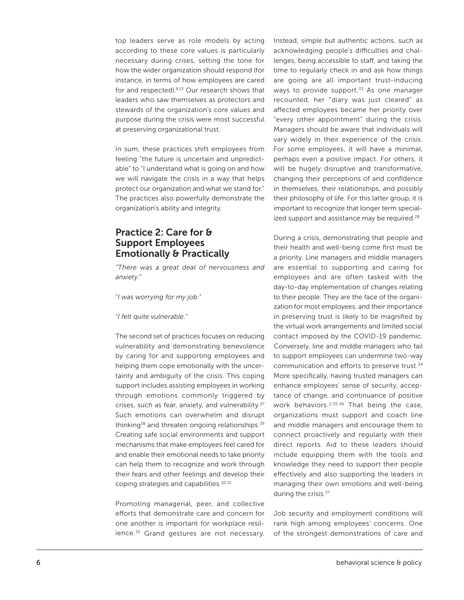top leaders serve as role models by acting according to these core values is particularly necessary during crises, setting the tone for how the wider organization should respond (for instance, in terms of how employees are cared for and respected).9,13 Our research shows that leaders who saw themselves as protectors and stewards of the organization's core values and purpose during the crisis were most successful at preserving organizational trust.

In sum, these practices shift employees from feeling "the future is uncertain and unpredictable" to "I understand what is going on and how we will navigate the crisis in a way that helps protect our organization and what we stand for." The practices also powerfully demonstrate the organization's ability and integrity.

## Practice 2: Care for & Support Employees Emotionally & Practically

*"There was a great deal of nervousness and anxiety."*

"*I was worrying for my job."*

*"I felt quite vulnerable."*

The second set of practices focuses on reducing vulnerability and demonstrating benevolence by caring for and supporting employees and helping them cope emotionally with the uncertainty and ambiguity of the crisis. This coping support includes assisting employees in working through emotions commonly triggered by crises, such as fear, anxiety, and vulnerability.27 Such emotions can overwhelm and disrupt thinking<sup>28</sup> and threaten ongoing relationships.<sup>29</sup> Creating safe social environments and support mechanisms that make employees feel cared for and enable their emotional needs to take priority can help them to recognize and work through their fears and other feelings and develop their coping strategies and capabilities.<sup>30,31</sup>

Promoting managerial, peer, and collective efforts that demonstrate care and concern for one another is important for workplace resilience.<sup>32</sup> Grand gestures are not necessary. Instead, simple but authentic actions, such as acknowledging people's difficulties and challenges, being accessible to staff, and taking the time to regularly check in and ask how things are going are all important trust-inducing ways to provide support. $33$  As one manager recounted, her "diary was just cleared" as affected employees became her priority over "every other appointment" during the crisis. Managers should be aware that individuals will vary widely in their experience of the crisis. For some employees, it will have a minimal, perhaps even a positive impact. For others, it will be hugely disruptive and transformative, changing their perceptions of and confidence in themselves, their relationships, and possibly their philosophy of life. For this latter group, it is important to recognize that longer term specialized support and assistance may be required.<sup>28</sup>

During a crisis, demonstrating that people and their health and well-being come first must be a priority. Line managers and middle managers are essential to supporting and caring for employees and are often tasked with the day-to-day implementation of changes relating to their people. They are the face of the organization for most employees, and their importance in preserving trust is likely to be magnified by the virtual work arrangements and limited social contact imposed by the COVID-19 pandemic. Conversely, line and middle managers who fail to support employees can undermine two-way communication and efforts to preserve trust.34 More specifically, having trusted managers can enhance employees' sense of security, acceptance of change, and continuance of positive work behaviors.<sup>2,35,36</sup> That being the case, organizations must support and coach line and middle managers and encourage them to connect proactively and regularly with their direct reports. Aid to these leaders should include equipping them with the tools and knowledge they need to support their people effectively and also supporting the leaders in managing their own emotions and well-being during the crisis.<sup>37</sup>

Job security and employment conditions will rank high among employees' concerns. One of the strongest demonstrations of care and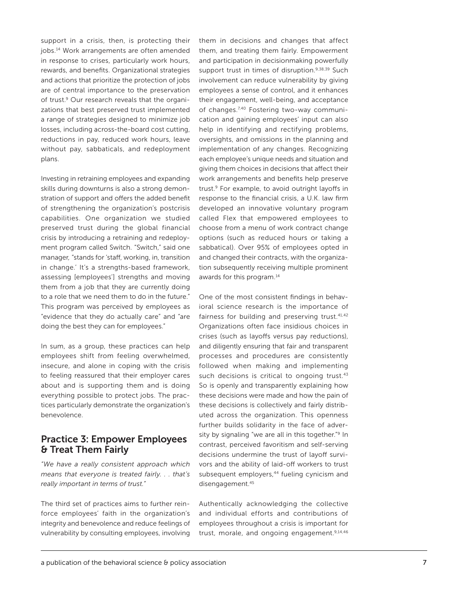support in a crisis, then, is protecting their jobs.14 Work arrangements are often amended in response to crises, particularly work hours, rewards, and benefits. Organizational strategies and actions that prioritize the protection of jobs are of central importance to the preservation of trust.<sup>9</sup> Our research reveals that the organizations that best preserved trust implemented a range of strategies designed to minimize job losses, including across-the-board cost cutting, reductions in pay, reduced work hours, leave without pay, sabbaticals, and redeployment plans.

Investing in retraining employees and expanding skills during downturns is also a strong demonstration of support and offers the added benefit of strengthening the organization's postcrisis capabilities. One organization we studied preserved trust during the global financial crisis by introducing a retraining and redeployment program called Switch. "Switch," said one manager*,* "stands for 'staff, working, in, transition in change.' It's a strengths-based framework, assessing [employees'] strengths and moving them from a job that they are currently doing to a role that we need them to do in the future." This program was perceived by employees as "evidence that they do actually care" and "are doing the best they can for employees."

In sum, as a group, these practices can help employees shift from feeling overwhelmed, insecure, and alone in coping with the crisis to feeling reassured that their employer cares about and is supporting them and is doing everything possible to protect jobs. The practices particularly demonstrate the organization's benevolence.

## Practice 3: Empower Employees & Treat Them Fairly

*"We have a really consistent approach which means that everyone is treated fairly. . . that's really important in terms of trust."*

The third set of practices aims to further reinforce employees' faith in the organization's integrity and benevolence and reduce feelings of vulnerability by consulting employees, involving

them in decisions and changes that affect them, and treating them fairly. Empowerment and participation in decisionmaking powerfully support trust in times of disruption.9,38,39 Such involvement can reduce vulnerability by giving employees a sense of control, and it enhances their engagement, well-being, and acceptance of changes.<sup>7,40</sup> Fostering two-way communication and gaining employees' input can also help in identifying and rectifying problems, oversights, and omissions in the planning and implementation of any changes. Recognizing each employee's unique needs and situation and giving them choices in decisions that affect their work arrangements and benefits help preserve trust.<sup>9</sup> For example, to avoid outright layoffs in response to the financial crisis, a U.K. law firm developed an innovative voluntary program called Flex that empowered employees to choose from a menu of work contract change options (such as reduced hours or taking a sabbatical). Over 95% of employees opted in and changed their contracts, with the organization subsequently receiving multiple prominent awards for this program.14

One of the most consistent findings in behavioral science research is the importance of fairness for building and preserving trust.<sup>41,42</sup> Organizations often face insidious choices in crises (such as layoffs versus pay reductions), and diligently ensuring that fair and transparent processes and procedures are consistently followed when making and implementing such decisions is critical to ongoing trust.<sup>43</sup> So is openly and transparently explaining how these decisions were made and how the pain of these decisions is collectively and fairly distributed across the organization. This openness further builds solidarity in the face of adversity by signaling "we are all in this together."<sup>9</sup> In contrast, perceived favoritism and self-serving decisions undermine the trust of layoff survivors and the ability of laid-off workers to trust subsequent employers,<sup>44</sup> fueling cynicism and disengagement.<sup>45</sup>

Authentically acknowledging the collective and individual efforts and contributions of employees throughout a crisis is important for trust, morale, and ongoing engagement.<sup>9,14,46</sup>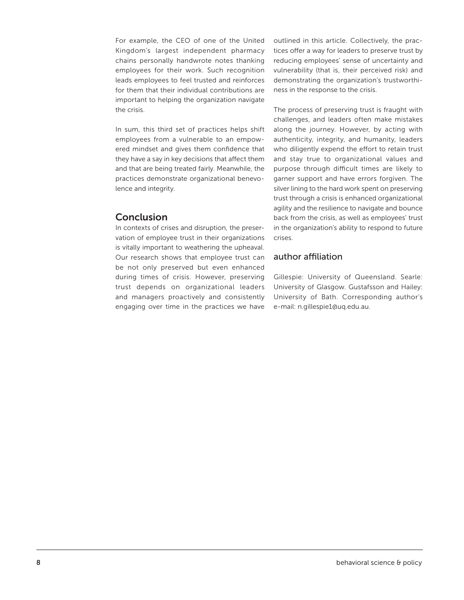For example, the CEO of one of the United Kingdom's largest independent pharmacy chains personally handwrote notes thanking employees for their work. Such recognition leads employees to feel trusted and reinforces for them that their individual contributions are important to helping the organization navigate the crisis.

In sum, this third set of practices helps shift employees from a vulnerable to an empowered mindset and gives them confidence that they have a say in key decisions that affect them and that are being treated fairly. Meanwhile, the practices demonstrate organizational benevolence and integrity.

## Conclusion

In contexts of crises and disruption, the preservation of employee trust in their organizations is vitally important to weathering the upheaval. Our research shows that employee trust can be not only preserved but even enhanced during times of crisis. However, preserving trust depends on organizational leaders and managers proactively and consistently engaging over time in the practices we have outlined in this article. Collectively, the practices offer a way for leaders to preserve trust by reducing employees' sense of uncertainty and vulnerability (that is, their perceived risk) and demonstrating the organization's trustworthiness in the response to the crisis.

The process of preserving trust is fraught with challenges, and leaders often make mistakes along the journey. However, by acting with authenticity, integrity, and humanity, leaders who diligently expend the effort to retain trust and stay true to organizational values and purpose through difficult times are likely to garner support and have errors forgiven. The silver lining to the hard work spent on preserving trust through a crisis is enhanced organizational agility and the resilience to navigate and bounce back from the crisis, as well as employees' trust in the organization's ability to respond to future crises.

## author affiliation

Gillespie: University of Queensland. Searle: University of Glasgow. Gustafsson and Hailey: University of Bath. Corresponding author's e-mail: [n.gillespie1@uq.edu.au.](mailto:n.gillespie1@uq.edu.au)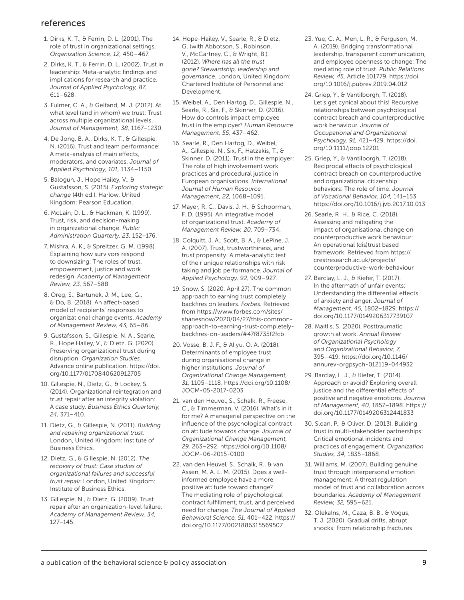### references

- 1. Dirks, K. T., & Ferrin, D. L. (2001). The role of trust in organizational settings. *Organization Science, 12,* 450–467.
- 2. Dirks, K. T., & Ferrin, D. L. (2002). Trust in leadership: Meta-analytic findings and implications for research and practice. *Journal of Applied Psychology, 87,* 611–628.
- 3. Fulmer, C. A., & Gelfand, M. J. (2012). At what level (and in whom) we trust: Trust across multiple organizational levels. *Journal of Management, 38,* 1167–1230.
- 4. De Jong, B. A., Dirks, K. T., & Gillespie, N. (2016). Trust and team performance: A meta-analysis of main effects, moderators, and covariates. *Journal of Applied Psychology, 101,* 1134–1150.
- 5. Balogun, J., Hope Hailey, V., & Gustafsson, S. (2015). *Exploring strategic change* (4th ed.). Harlow, United Kingdom: Pearson Education.
- 6. McLain, D. L., & Hackman, K. (1999). Trust, risk, and decision-making in organizational change. *Public Administration Quarterly, 23,* 152–176.
- 7. Mishra, A. K., & Spreitzer, G. M. (1998). Explaining how survivors respond to downsizing: The roles of trust, empowerment, justice and work redesign. *Academy of Management Review, 23,* 567–588.
- 8. Oreg, S., Bartunek, J. M., Lee, G., & Do, B. (2018). An affect-based model of recipients' responses to organizational change events. *Academy of Management Review, 43,* 65–86.
- 9. Gustafsson, S., Gillespie, N. A., Searle, R., Hope Hailey, V., & Dietz, G. (2020). Preserving organizational trust during disruption. *Organization Studies.* Advance online publication. [https://doi.](https://doi.org/10.1177/0170840620912705) [org/10.1177/0170840620912705](https://doi.org/10.1177/0170840620912705)
- 10. Gillespie, N., Dietz, G., & Lockey, S. (2014). Organizational reintegration and trust repair after an integrity violation: A case study. *Business Ethics Quarterly, 24,* 371–410.
- 11. Dietz, G., & Gillespie, N. (2011). *Building and repairing organizational trust*. London, United Kingdom: Institute of Business Ethics.
- 12. Dietz, G., & Gillespie, N. (2012). *The recovery of trust: Case studies of organizational failures and successful trust repair*. London, United Kingdom: Institute of Business Ethics.
- 13. Gillespie, N., & Dietz, G. (2009). Trust repair after an organization-level failure. *Academy of Management Review, 34,* 127–145.
- 14. Hope-Hailey, V., Searle, R., & Dietz, G. (with Abbotson, S., Robinson, V., McCartney, C., & Wright, B.). (2012). *Where has all the trust gone? Stewardship, leadership and governance.* London, United Kingdom: Chartered Institute of Personnel and Development.
- 15. Weibel, A., Den Hartog, D., Gillespie, N., Searle, R., Six, F., & Skinner, D. (2016). How do controls impact employee trust in the employer? *Human Resource Management, 55,* 437–462.
- 16. Searle, R., Den Hartog, D., Weibel, A., Gillespie, N., Six, F., Hatzakis, T., & Skinner, D. (2011). Trust in the employer: The role of high involvement work practices and procedural justice in European organisations. *International Journal of Human Resource Management, 22,* 1068–1091.
- 17. Mayer, R. C., Davis, J. H., & Schoorman, F. D. (1995). An integrative model of organizational trust. *Academy of Management Review, 20,* 709–734.
- 18. Colquitt, J. A., Scott, B. A., & LePine, J. A. (2007). Trust, trustworthiness, and trust propensity: A meta-analytic test of their unique relationships with risk taking and job performance. *Journal of Applied Psychology, 92,* 909–927.
- 19. Snow, S. (2020, April 27). The common approach to earning trust completely backfires on leaders. *Forbes.* Retrieved from https://[www.forbes.com/sites/](https://www.forbes.com/sites/shanesnow/2020/04/27/this-common-approach-to-earning-trust-completely-backfires-on-leaders/#47f8735f2fcb) [shanesnow/2020/04/27/this-common](https://www.forbes.com/sites/shanesnow/2020/04/27/this-common-approach-to-earning-trust-completely-backfires-on-leaders/#47f8735f2fcb)[approach-to-earning-trust-completely](https://www.forbes.com/sites/shanesnow/2020/04/27/this-common-approach-to-earning-trust-completely-backfires-on-leaders/#47f8735f2fcb)[backfires-on-leaders/#47f8735f2fcb](https://www.forbes.com/sites/shanesnow/2020/04/27/this-common-approach-to-earning-trust-completely-backfires-on-leaders/#47f8735f2fcb)
- 20. Vosse, B. J. F., & Aliyu, O. A. (2018). Determinants of employee trust during organisational change in higher institutions. *Journal of Organizational Change Management, 31,* 1105–1118. [https://doi.org/10.1108/](https://doi.org/10.1108/JOCM-05-2017-0203) [JOCM-05-2017-0203](https://doi.org/10.1108/JOCM-05-2017-0203)
- 21. van den Heuvel, S., Schalk, R., Freese, C., & Timmerman, V. (2016). What's in it for me? A managerial perspective on the influence of the psychological contract on attitude towards change. *Journal of Organizational Change Management, 29,* 263–292. [https://doi.org/10.1108/](https://doi.org/10.1108/JOCM-06-2015-0100) [JOCM-06-2015-0100](https://doi.org/10.1108/JOCM-06-2015-0100)
- 22. van den Heuvel, S., Schalk, R., & van Assen, M. A. L. M. (2015). Does a wellinformed employee have a more positive attitude toward change? The mediating role of psychological contract fulfillment, trust, and perceived need for change. *The Journal of Applied Behavioral Science, 51,* 401–422. [https://](https://doi.org/10.1177/0021886315569507) [doi.org/10.1177/0021886315569507](https://doi.org/10.1177/0021886315569507)
- 23. Yue, C. A., Men, L. R., & Ferguson, M. A. (2019). Bridging transformational leadership, transparent communication, and employee openness to change: The mediating role of trust. *Public Relations Review, 45,* Article 101779. [https://doi.](https://doi.org/10.1016/j.pubrev.2019.04.012) [org/10.1016/j.pubrev.2019.04.012](https://doi.org/10.1016/j.pubrev.2019.04.012)
- 24. Griep, Y., & Vantilborgh, T. (2018). Let's get cynical about this! Recursive relationships between psychological contract breach and counterproductive work behaviour. *Journal of Occupational and Organizational Psychology, 91,* 421–429. [https://doi.](https://doi.org/10.1111/joop.12201) [org/10.1111/joop.12201](https://doi.org/10.1111/joop.12201)
- 25. Griep, Y., & Vantilborgh, T. (2018). Reciprocal effects of psychological contract breach on counterproductive and organizational citizenship behaviors: The role of time. *Journal of Vocational Behavior, 104,* 141–153. <https://doi.org/10.1016/j.jvb.2017.10.013>
- 26. Searle, R. H., & Rice, C. (2018). Assessing and mitigating the impact of organisational change on counterproductive work behaviour: An operational (dis)trust based framework. Retrieved from [https://](https://crestresearch.ac.uk/projects/counterproductive-work-behaviour) [crestresearch.ac.uk/projects/](https://crestresearch.ac.uk/projects/counterproductive-work-behaviour) [counterproductive-work-behaviour](https://crestresearch.ac.uk/projects/counterproductive-work-behaviour)
- 27. Barclay, L. J., & Kiefer, T. (2017). In the aftermath of unfair events: Understanding the differential effects of anxiety and anger. *Journal of Management, 45,* 1802–1829. [https://](https://doi.org/10.1177/0149206317739107) [doi.org/10.1177/0149206317739107](https://doi.org/10.1177/0149206317739107)
- 28. Maitlis, S. (2020). Posttraumatic growth at work. *Annual Review of Organizational Psychology and Organizational Behavior, 7,* 395–419. [https://doi.org/10.1146/](https://doi.org/10.1146/annurev-orgpsych-012119-044932) [annurev-orgpsych-012119-044932](https://doi.org/10.1146/annurev-orgpsych-012119-044932)
- 29. Barclay, L. J., & Kiefer, T. (2014). Approach or avoid? Exploring overall justice and the differential effects of positive and negative emotions. *Journal of Management, 40,* 1857–1898. [https://](https://doi.org/10.1177/0149206312441833) [doi.org/10.1177/0149206312441833](https://doi.org/10.1177/0149206312441833)
- 30. Sloan, P., & Oliver, D. (2013). Building trust in multi-stakeholder partnerships: Critical emotional incidents and practices of engagement. *Organization Studies, 34,* 1835–1868.
- 31. Williams, M. (2007). Building genuine trust through interpersonal emotion management: A threat regulation model of trust and collaboration across boundaries. *Academy of Management Review, 32,* 595–621.
- 32. Olekalns, M., Caza, B. B., & Vogus, T. J. (2020). Gradual drifts, abrupt shocks: From relationship fractures